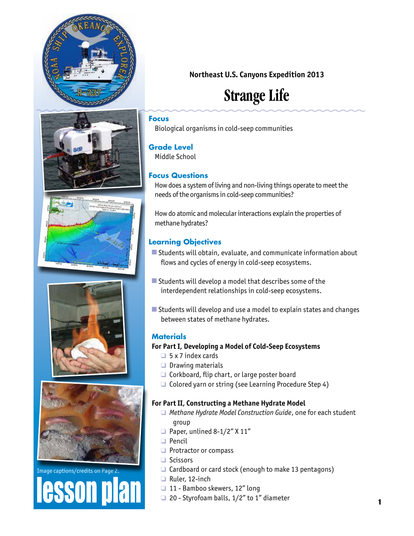







# **esson n**

#### **Northeast U.S. Canyons Expedition 2013**

## **Strange Life**

#### **Focus**

Biological organisms in cold-seep communities

#### **Grade Level**

Middle School

### **Focus Questions**

How does a system of living and non-living things operate to meet the needs of the organisms in cold-seep communities?

How do atomic and molecular interactions explain the properties of methane hydrates?

#### **Learning Objectives**

- $\blacksquare$  Students will obtain, evaluate, and communicate information about flows and cycles of energy in cold-seep ecosystems.
- $\blacksquare$  Students will develop a model that describes some of the interdependent relationships in cold-seep ecosystems.
- $\blacksquare$  Students will develop and use a model to explain states and changes between states of methane hydrates.

#### **Materials**

#### **For Part I, Developing a Model of Cold-Seep Ecosystems**

- $\Box$  5 x 7 index cards
- $\Box$  Drawing materials
- $\Box$  Corkboard, flip chart, or large poster board
- $\Box$  Colored yarn or string (see Learning Procedure Step 4)

#### **For Part II, Constructing a Methane Hydrate Model**

- □ Methane Hydrate Model Construction Guide, one for each student group
- $\Box$  Paper, unlined 8-1/2" X 11"
- $\Box$  Pencil
- $\Box$  Protractor or compass
- $\Box$  Scissors
- $\Box$  Cardboard or card stock (enough to make 13 pentagons)
- $\Box$  Ruler, 12-inch
- □ 11 Bamboo skewers, 12" long
- 20 Styrofoam balls,  $1/2$ " to 1" diameter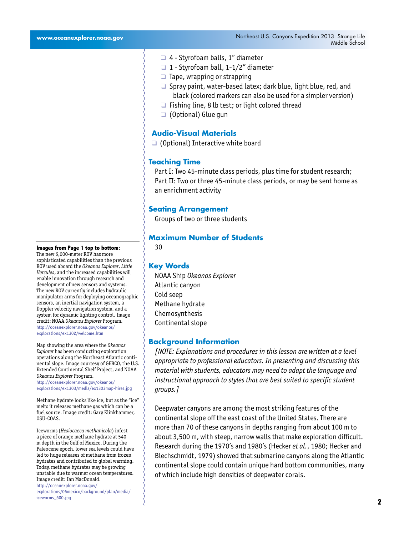- $\Box$  4 Styrofoam balls, 1" diameter
- $\Box$  1 Styrofoam ball, 1-1/2" diameter
- $\Box$  Tape, wrapping or strapping
- $\Box$  Spray paint, water-based latex; dark blue, light blue, red, and black (colored markers can also be used for a simpler version)
- $\Box$  Fishing line, 8 lb test; or light colored thread
- $\Box$  (Optional) Glue gun

#### **Audio-Visual Materials**

 $\Box$  (Optional) Interactive white board

#### **Teaching Time**

Part I: Two 45-minute class periods, plus time for student research; Part II: Two or three 45-minute class periods, or may be sent home as an enrichment activity

#### **Seating Arrangement**

Groups of two or three students

#### **Maximum Number of Students**

30

#### **Key Words**

NOAA Ship *Okeanos Explorer* Atlantic canyon Cold seep Methane hydrate Chemosynthesis Continental slope

#### **Background Information**

*[NOTE: Explanations and procedures in this lesson are written at a level appropriate to professional educators. In presenting and discussing this material with students, educators may need to adapt the language and instructional approach to styles that are best suited to specific student groups.]*

Deepwater canyons are among the most striking features of the continental slope off the east coast of the United States. There are more than 70 of these canyons in depths ranging from about 100 m to about 3,500 m, with steep, narrow walls that make exploration difficult. Research during the 1970's and 1980's (Hecker *et al.*, 1980; Hecker and Blechschmidt, 1979) showed that submarine canyons along the Atlantic continental slope could contain unique hard bottom communities, many of which include high densities of deepwater corals.

#### **Images from Page 1 top to bottom:**

The new 6,000-meter ROV has more sophisticated capabilities than the previous ROV used aboard the *Okeanos Explorer*, *Little Hercules*, and the increased capabilities will enable innovation through research and development of new sensors and systems. The new ROV currently includes hydraulic manipulator arms for deploying oceanographic sensors, an inertial navigation system, a Doppler velocity navigation system, and a system for dynamic lighting control. Image credit: NOAA *Okeanos Explorer* Program. http://oceanexplorer.noaa.gov/okeanos/ explorations/ex1302/welcome.htm

Map showing the area where the *Okeanos Explorer* has been conducting exploration operations along the Northeast Atlantic continental slope. Image courtesy of GEBCO, the U.S. Extended Continental Shelf Project, and NOAA *Okeanos Explorer* Program. http://oceanexplorer.noaa.gov/okeanos/

explorations/ex1303/media/ex1303map-hires.jpg

Methane hydrate looks like ice, but as the "ice" melts it releases methane gas which can be a fuel source. Image credit: Gary Klinkhammer, OSU-COAS.

100ay, incritant riyarates may be growing<br>unstable due to warmer ocean temperatures. Iceworms (*Hesiocaeca methanicola*) infest a piece of orange methane hydrate at 540 m depth in the Gulf of Mexico. During the Paleocene epoch, lower sea levels could have led to huge releases of methane from frozen hydrates and contributed to global warming. Today, methane hydrates may be growing Image credit: Ian MacDonald.

[http://oceanexplorer.noaa.gov/](http://oceanexplorer.noaa.gov/explorations/06mexico/background/plan/media/iceworms_600.jpg) [explorations/06mexico/background/plan/media/](http://oceanexplorer.noaa.gov/explorations/06mexico/background/plan/media/iceworms_600.jpg) [iceworms\\_600.jpg](http://oceanexplorer.noaa.gov/explorations/06mexico/background/plan/media/iceworms_600.jpg)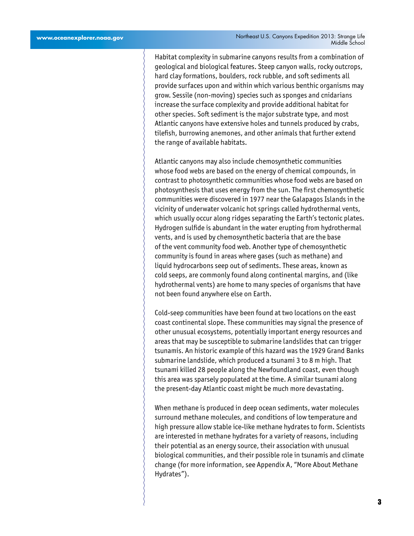Habitat complexity in submarine canyons results from a combination of geological and biological features. Steep canyon walls, rocky outcrops, hard clay formations, boulders, rock rubble, and soft sediments all provide surfaces upon and within which various benthic organisms may grow. Sessile (non-moving) species such as sponges and cnidarians increase the surface complexity and provide additional habitat for other species. Soft sediment is the major substrate type, and most Atlantic canyons have extensive holes and tunnels produced by crabs, tilefish, burrowing anemones, and other animals that further extend the range of available habitats.

Atlantic canyons may also include chemosynthetic communities whose food webs are based on the energy of chemical compounds, in contrast to photosynthetic communities whose food webs are based on photosynthesis that uses energy from the sun. The first chemosynthetic communities were discovered in 1977 near the Galapagos Islands in the vicinity of underwater volcanic hot springs called hydrothermal vents, which usually occur along ridges separating the Earth's tectonic plates. Hydrogen sulfide is abundant in the water erupting from hydrothermal vents, and is used by chemosynthetic bacteria that are the base of the vent community food web. Another type of chemosynthetic community is found in areas where gases (such as methane) and liquid hydrocarbons seep out of sediments. These areas, known as cold seeps, are commonly found along continental margins, and (like hydrothermal vents) are home to many species of organisms that have not been found anywhere else on Earth.

Cold-seep communities have been found at two locations on the east coast continental slope. These communities may signal the presence of other unusual ecosystems, potentially important energy resources and areas that may be susceptible to submarine landslides that can trigger tsunamis. An historic example of this hazard was the 1929 Grand Banks submarine landslide, which produced a tsunami 3 to 8 m high. That tsunami killed 28 people along the Newfoundland coast, even though this area was sparsely populated at the time. A similar tsunami along the present-day Atlantic coast might be much more devastating.

When methane is produced in deep ocean sediments, water molecules surround methane molecules, and conditions of low temperature and high pressure allow stable ice-like methane hydrates to form. Scientists are interested in methane hydrates for a variety of reasons, including their potential as an energy source, their association with unusual biological communities, and their possible role in tsunamis and climate change (for more information, see Appendix A, "More About Methane Hydrates").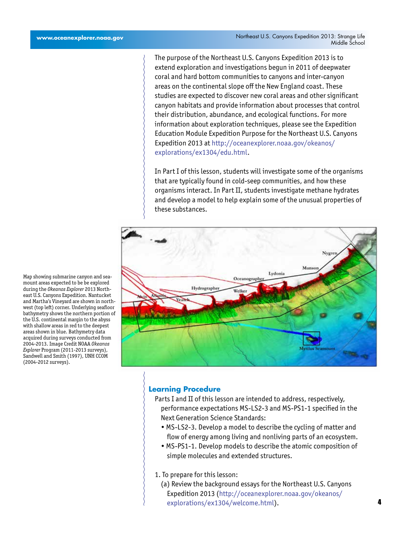The purpose of the Northeast U.S. Canyons Expedition 2013 is to extend exploration and investigations begun in 2011 of deepwater coral and hard bottom communities to canyons and inter-canyon areas on the continental slope off the New England coast. These studies are expected to discover new coral areas and other significant canyon habitats and provide information about processes that control their distribution, abundance, and ecological functions. For more information about exploration techniques, please see the Expedition Education Module Expedition Purpose for the Northeast U.S. Canyons Expedition 2013 at [http://oceanexplorer.noaa.gov/okeanos/](http://oceanexplorer.noaa.gov/okeanos/explorations/ex1304/edu.html) [explorations/ex1304/edu.html](http://oceanexplorer.noaa.gov/okeanos/explorations/ex1304/edu.html).

In Part I of this lesson, students will investigate some of the organisms that are typically found in cold-seep communities, and how these organisms interact. In Part II, students investigate methane hydrates and develop a model to help explain some of the unusual properties of these substances.



#### **Learning Procedure**

Parts I and II of this lesson are intended to address, respectively, performance expectations MS-LS2-3 and MS-PS1-1 specified in the Next Generation Science Standards:

- MS-LS2-3. Develop a model to describe the cycling of matter and flow of energy among living and nonliving parts of an ecosystem.
- MS-PS1-1. Develop models to describe the atomic composition of simple molecules and extended structures.
- 1. To prepare for this lesson:
	- (a) Review the background essays for the Northeast U.S. Canyons Expedition 2013 [\(http://oceanexplorer.noaa.gov/okeanos/](http://oceanexplorer.noaa.gov/okeanos/explorations/ex1304/welcome.html) [explorations/ex1304/welcome.html](http://oceanexplorer.noaa.gov/okeanos/explorations/ex1304/welcome.html)).

Map showing submarine canyon and seamount areas expected to be be explored during the *Okeanos Explorer* 2013 Northeast U.S. Canyons Expedition. Nantucket and Martha's Vineyard are shown in northwest (top left) corner. Underlying seafloor bathymetry shows the northern portion of the U.S. continental margin to the abyss with shallow areas in red to the deepest areas shown in blue. Bathymetry data acquired during surveys conducted from 2004-2013. Image Credit NOAA *Okeanos Explorer* Program (2011-2013 surveys), Sandwell and Smith (1997), UNH CCOM (2004-2012 surveys).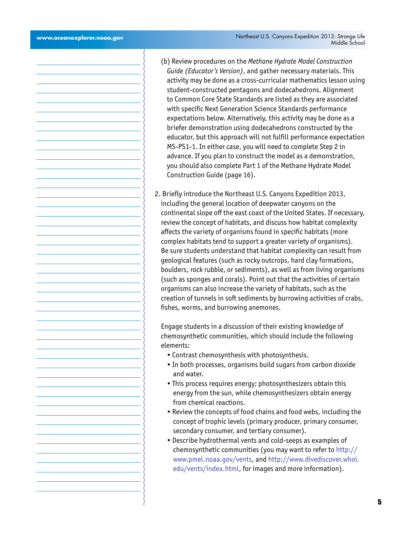- (b) Review procedures on the *Methane Hydrate Model Construction Guide (Educator's Version)*, and gather necessary materials. This activity may be done as a cross-curricular mathematics lesson using student-constructed pentagons and dodecahedrons. Alignment to Common Core State Standards are listed as they are associated with specific Next Generation Science Standards performance expectations below. Alternatively, this activity may be done as a briefer demonstration using dodecahedrons constructed by the educator, but this approach will not fulfill performance expectation MS-PS1-1. In either case, you will need to complete Step 2 in advance. If you plan to construct the model as a demonstration, you should also complete Part 1 of the Methane Hydrate Model Construction Guide (page 16).
- 2. Briefly introduce the Northeast U.S. Canyons Expedition 2013, including the general location of deepwater canyons on the continental slope off the east coast of the United States. If necessary, review the concept of habitats, and discuss how habitat complexity affects the variety of organisms found in specific habitats (more complex habitats tend to support a greater variety of organisms). Be sure students understand that habitat complexity can result from geological features (such as rocky outcrops, hard clay formations, boulders, rock rubble, or sediments), as well as from living organisms (such as sponges and corals). Point out that the activities of certain organisms can also increase the variety of habitats, such as the creation of tunnels in soft sediments by burrowing activities of crabs, fishes, worms, and burrowing anemones.

Engage students in a discussion of their existing knowledge of chemosynthetic communities, which should include the following elements:

- Contrast chemosynthesis with photosynthesis.
- In both processes, organisms build sugars from carbon dioxide and water.
- This process requires energy; photosynthesizers obtain this energy from the sun, while chemosynthesizers obtain energy from chemical reactions.
- Review the concepts of food chains and food webs, including the concept of trophic levels (primary producer, primary consumer, secondary consumer, and tertiary consumer).
- Describe hydrothermal vents and cold-seeps as examples of chemosynthetic communities (you may want to refer to [http://](http://www.pmel.noaa.gov/vents) [www.pmel.noaa.gov/vents,](http://www.pmel.noaa.gov/vents) and [http://www.divediscover.whoi.](http://www.divediscover.whoi.edu/vents/index.html) [edu/vents/index.html,](http://www.divediscover.whoi.edu/vents/index.html) for images and more information).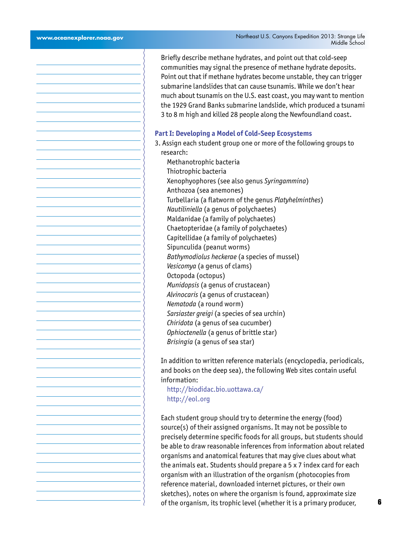Briefly describe methane hydrates, and point out that cold-seep communities may signal the presence of methane hydrate deposits. Point out that if methane hydrates become unstable, they can trigger submarine landslides that can cause tsunamis. While we don't hear much about tsunamis on the U.S. east coast, you may want to mention the 1929 Grand Banks submarine landslide, which produced a tsunami 3 to 8 m high and killed 28 people along the Newfoundland coast.

#### **Part I: Developing a Model of Cold-Seep Ecosystems**

3. Assign each student group one or more of the following groups to research: Methanotrophic bacteria Thiotrophic bacteria Xenophyophores (see also genus *Syringammina*) Anthozoa (sea anemones) Turbellaria (a flatworm of the genus *Platyhelminthes*) *Nautiliniella* (a genus of polychaetes) Maldanidae (a family of polychaetes) Chaetopteridae (a family of polychaetes) Capitellidae (a family of polychaetes) Sipunculida (peanut worms) *Bathymodiolus heckerae* (a species of mussel) *Vesicomya* (a genus of clams) Octopoda (octopus) *Munidopsis* (a genus of crustacean) *Alvinocaris* (a genus of crustacean) *Nematoda* (a round worm) *Sarsiaster greigi* (a species of sea urchin) *Chiridota* (a genus of sea cucumber) *Ophioctenella* (a genus of brittle star) *Brisingia* (a genus of sea star)

In addition to written reference materials (encyclopedia, periodicals, and books on the deep sea), the following Web sites contain useful information:

<http://biodidac.bio.uottawa.ca/> <http://eol.org>

Each student group should try to determine the energy (food) source(s) of their assigned organisms. It may not be possible to precisely determine specific foods for all groups, but students should be able to draw reasonable inferences from information about related organisms and anatomical features that may give clues about what the animals eat. Students should prepare a 5 x 7 index card for each organism with an illustration of the organism (photocopies from reference material, downloaded internet pictures, or their own sketches), notes on where the organism is found, approximate size of the organism, its trophic level (whether it is a primary producer,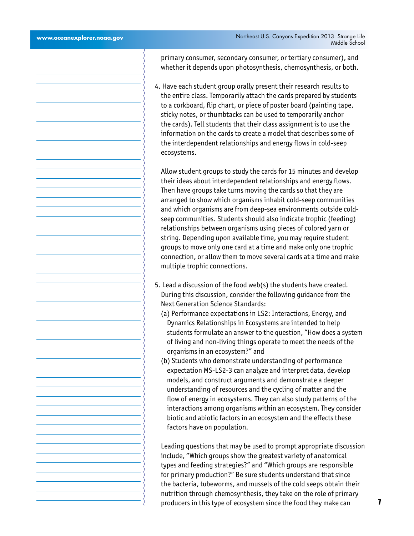primary consumer, secondary consumer, or tertiary consumer), and whether it depends upon photosynthesis, chemosynthesis, or both.

4. Have each student group orally present their research results to the entire class. Temporarily attach the cards prepared by students to a corkboard, flip chart, or piece of poster board (painting tape, sticky notes, or thumbtacks can be used to temporarily anchor the cards). Tell students that their class assignment is to use the information on the cards to create a model that describes some of the interdependent relationships and energy flows in cold-seep ecosystems.

Allow student groups to study the cards for 15 minutes and develop their ideas about interdependent relationships and energy flows. Then have groups take turns moving the cards so that they are arranged to show which organisms inhabit cold-seep communities and which organisms are from deep-sea environments outside coldseep communities. Students should also indicate trophic (feeding) relationships between organisms using pieces of colored yarn or string. Depending upon available time, you may require student groups to move only one card at a time and make only one trophic connection, or allow them to move several cards at a time and make multiple trophic connections.

- 5. Lead a discussion of the food web(s) the students have created. During this discussion, consider the following guidance from the Next Generation Science Standards:
	- (a) Performance expectations in LS2: Interactions, Energy, and Dynamics Relationships in Ecosystems are intended to help students formulate an answer to the question, "How does a system of living and non-living things operate to meet the needs of the organisms in an ecosystem?" and
	- (b) Students who demonstrate understanding of performance expectation MS-LS2-3 can analyze and interpret data, develop models, and construct arguments and demonstrate a deeper understanding of resources and the cycling of matter and the flow of energy in ecosystems. They can also study patterns of the interactions among organisms within an ecosystem. They consider biotic and abiotic factors in an ecosystem and the effects these factors have on population.

Leading questions that may be used to prompt appropriate discussion include, "Which groups show the greatest variety of anatomical types and feeding strategies?" and "Which groups are responsible for primary production?" Be sure students understand that since the bacteria, tubeworms, and mussels of the cold seeps obtain their nutrition through chemosynthesis, they take on the role of primary producers in this type of ecosystem since the food they make can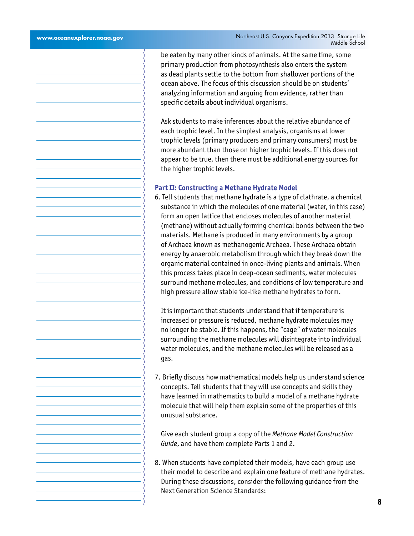be eaten by many other kinds of animals. At the same time, some primary production from photosynthesis also enters the system as dead plants settle to the bottom from shallower portions of the ocean above. The focus of this discussion should be on students' analyzing information and arguing from evidence, rather than specific details about individual organisms.

Ask students to make inferences about the relative abundance of each trophic level. In the simplest analysis, organisms at lower trophic levels (primary producers and primary consumers) must be more abundant than those on higher trophic levels. If this does not appear to be true, then there must be additional energy sources for the higher trophic levels.

#### **Part II: Constructing a Methane Hydrate Model**

6. Tell students that methane hydrate is a type of clathrate, a chemical substance in which the molecules of one material (water, in this case) form an open lattice that encloses molecules of another material (methane) without actually forming chemical bonds between the two materials. Methane is produced in many environments by a group of Archaea known as methanogenic Archaea. These Archaea obtain energy by anaerobic metabolism through which they break down the organic material contained in once-living plants and animals. When this process takes place in deep-ocean sediments, water molecules surround methane molecules, and conditions of low temperature and high pressure allow stable ice-like methane hydrates to form.

It is important that students understand that if temperature is increased or pressure is reduced, methane hydrate molecules may no longer be stable. If this happens, the "cage" of water molecules surrounding the methane molecules will disintegrate into individual water molecules, and the methane molecules will be released as a gas.

7. Briefly discuss how mathematical models help us understand science concepts. Tell students that they will use concepts and skills they have learned in mathematics to build a model of a methane hydrate molecule that will help them explain some of the properties of this unusual substance.

Give each student group a copy of the *Methane Model Construction Guide*, and have them complete Parts 1 and 2.

8. When students have completed their models, have each group use their model to describe and explain one feature of methane hydrates. During these discussions, consider the following guidance from the Next Generation Science Standards: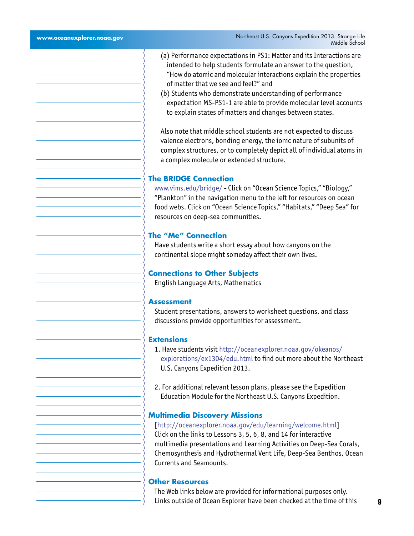- (a) Performance expectations in PS1: Matter and its Interactions are intended to help students formulate an answer to the question, "How do atomic and molecular interactions explain the properties of matter that we see and feel?" and
- (b) Students who demonstrate understanding of performance expectation MS-PS1-1 are able to provide molecular level accounts to explain states of matters and changes between states.

Also note that middle school students are not expected to discuss valence electrons, bonding energy, the ionic nature of subunits of complex structures, or to completely depict all of individual atoms in a complex molecule or extended structure.

#### **The BRIDGE Connection**

<www.vims.edu/bridge/> - Click on "Ocean Science Topics," "Biology," "Plankton" in the navigation menu to the left for resources on ocean food webs. Click on "Ocean Science Topics," "Habitats," "Deep Sea" for resources on deep-sea communities.

#### **The "Me" Connection**

Have students write a short essay about how canyons on the continental slope might someday affect their own lives.

#### **Connections to Other Subjects**

English Language Arts, Mathematics

#### **Assessment**

Student presentations, answers to worksheet questions, and class discussions provide opportunities for assessment.

#### **Extensions**

- 1. Have students visit [http://oceanexplorer.noaa.gov/okeanos/](http://oceanexplorer.noaa.gov/okeanos/explorations/ex1304/edu.html) [explorations/ex1304/edu.html](http://oceanexplorer.noaa.gov/okeanos/explorations/ex1304/edu.html) to find out more about the Northeast U.S. Canyons Expedition 2013.
- 2. For additional relevant lesson plans, please see the Expedition Education Module for the Northeast U.S. Canyons Expedition.

#### **Multimedia Discovery Missions**

#### [<http://oceanexplorer.noaa.gov/edu/learning/welcome.html>]

Click on the links to Lessons 3, 5, 6, 8, and 14 for interactive multimedia presentations and Learning Activities on Deep-Sea Corals, Chemosynthesis and Hydrothermal Vent Life, Deep-Sea Benthos, Ocean Currents and Seamounts.

#### **Other Resources**

The Web links below are provided for informational purposes only. Links outside of Ocean Explorer have been checked at the time of this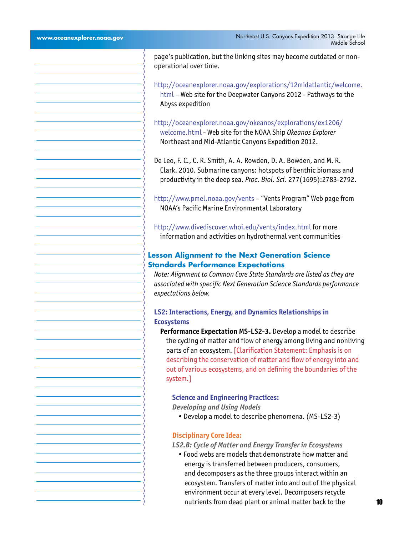Image captions/credits on Page 2. page's publication, but the linking sites may become outdated or nonoperational over time. [http://oceanexplorer.noaa.gov/explorations/12midatlantic/welcome.](http://oceanexplorer.noaa.gov/explorations/12midatlantic/welcome.html) [html](http://oceanexplorer.noaa.gov/explorations/12midatlantic/welcome.html) – Web site for the Deepwater Canyons 2012 - Pathways to the Abyss expedition [http://oceanexplorer.noaa.gov/okeanos/explorations/ex1206/](http://oceanexplorer.noaa.gov/okeanos/explorations/ex1206/welcome.html) [welcome.html](http://oceanexplorer.noaa.gov/okeanos/explorations/ex1206/welcome.html) - Web site for the NOAA Ship *Okeanos Explorer* Northeast and Mid-Atlantic Canyons Expedition 2012. De Leo, F. C., C. R. Smith, A. A. Rowden, D. A. Bowden, and M. R. Clark. 2010. Submarine canyons: hotspots of benthic biomass and productivity in the deep sea. *Proc. Biol. Sci.* 277(1695):2783-2792. <http://www.pmel.noaa.gov/vents> – "Vents Program" Web page from NOAA's Pacific Marine Environmental Laboratory <http://www.divediscover.whoi.edu/vents/index.html> for more information and activities on hydrothermal vent communities **Lesson Alignment to the Next Generation Science Standards Performance Expectations**  *Note: Alignment to Common Core State Standards are listed as they are associated with specific Next Generation Science Standards performance expectations below.* **LS2: Interactions, Energy, and Dynamics Relationships in Ecosystems Performance Expectation MS-LS2-3.** Develop a model to describe the cycling of matter and flow of energy among living and nonliving parts of an ecosystem. [Clarification Statement: Emphasis is on describing the conservation of matter and flow of energy into and out of various ecosystems, and on defining the boundaries of the system.] **Science and Engineering Practices:** *Developing and Using Models* • Develop a model to describe phenomena. (MS-LS2-3) **Disciplinary Core Idea:** *LS2.B: Cycle of Matter and Energy Transfer in Ecosystems*  • Food webs are models that demonstrate how matter and energy is transferred between producers, consumers, and decomposers as the three groups interact within an ecosystem. Transfers of matter into and out of the physical environment occur at every level. Decomposers recycle nutrients from dead plant or animal matter back to the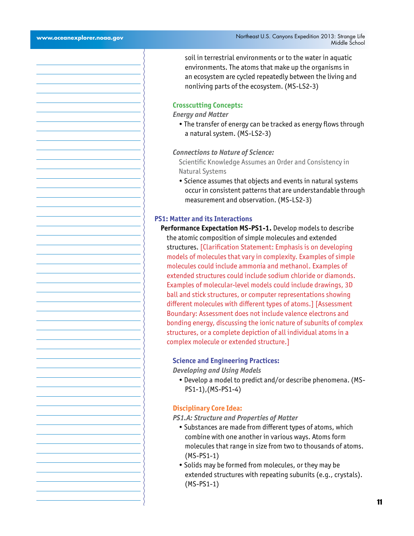soil in terrestrial environments or to the water in aquatic environments. The atoms that make up the organisms in an ecosystem are cycled repeatedly between the living and nonliving parts of the ecosystem. (MS-LS2-3)

#### **Crosscutting Concepts:**

#### *Energy and Matter*

• The transfer of energy can be tracked as energy flows through a natural system. (MS-LS2-3)

#### *Connections to Nature of Science:*

Scientific Knowledge Assumes an Order and Consistency in Natural Systems

• Science assumes that objects and events in natural systems occur in consistent patterns that are understandable through measurement and observation. (MS-LS2-3)

#### **PS1: Matter and its Interactions**

**Performance Expectation MS-PS1-1.** Develop models to describe the atomic composition of simple molecules and extended structures. [Clarification Statement: Emphasis is on developing models of molecules that vary in complexity. Examples of simple molecules could include ammonia and methanol. Examples of extended structures could include sodium chloride or diamonds. Examples of molecular-level models could include drawings, 3D ball and stick structures, or computer representations showing different molecules with different types of atoms.] [Assessment Boundary: Assessment does not include valence electrons and bonding energy, discussing the ionic nature of subunits of complex structures, or a complete depiction of all individual atoms in a complex molecule or extended structure.]

#### **Science and Engineering Practices:**

*Developing and Using Models*

• Develop a model to predict and/or describe phenomena. (MS-PS1-1),(MS-PS1-4)

#### **Disciplinary Core Idea:**

*PS1.A: Structure and Properties of Matter* 

- Substances are made from different types of atoms, which combine with one another in various ways. Atoms form molecules that range in size from two to thousands of atoms. (MS-PS1-1)
- Solids may be formed from molecules, or they may be extended structures with repeating subunits (e.g., crystals). (MS-PS1-1)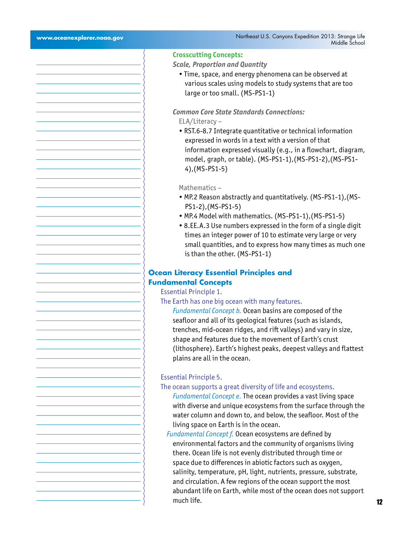#### **Crosscutting Concepts:**

#### *Scale, Proportion and Quantity*

• Time, space, and energy phenomena can be observed at various scales using models to study systems that are too large or too small. (MS-PS1-1)

#### *Common Core State Standards Connections:*

ELA/Literacy –

• RST.6-8.7 Integrate quantitative or technical information expressed in words in a text with a version of that information expressed visually (e.g., in a flowchart, diagram, model, graph, or table). (MS-PS1-1),(MS-PS1-2),(MS-PS1- 4),(MS-PS1-5)

#### Mathematics –

- MP.2 Reason abstractly and quantitatively. (MS-PS1-1),(MS-PS1-2),(MS-PS1-5)
- MP.4 Model with mathematics. (MS-PS1-1),(MS-PS1-5)
- 8.EE.A.3 Use numbers expressed in the form of a single digit times an integer power of 10 to estimate very large or very small quantities, and to express how many times as much one is than the other. (MS-PS1-1)

#### **Ocean Literacy Essential Principles and Fundamental Concepts**

Essential Principle 1.

The Earth has one big ocean with many features.

*Fundamental Concept b.* Ocean basins are composed of the seafloor and all of its geological features (such as islands, trenches, mid-ocean ridges, and rift valleys) and vary in size, shape and features due to the movement of Earth's crust (lithosphere). Earth's highest peaks, deepest valleys and flattest plains are all in the ocean.

#### Essential Principle 5.

#### The ocean supports a great diversity of life and ecosystems.

- *Fundamental Concept e.* The ocean provides a vast living space with diverse and unique ecosystems from the surface through the water column and down to, and below, the seafloor. Most of the living space on Earth is in the ocean.
- *Fundamental Concept f.* Ocean ecosystems are defined by environmental factors and the community of organisms living there. Ocean life is not evenly distributed through time or space due to differences in abiotic factors such as oxygen, salinity, temperature, pH, light, nutrients, pressure, substrate, and circulation. A few regions of the ocean support the most abundant life on Earth, while most of the ocean does not support much life.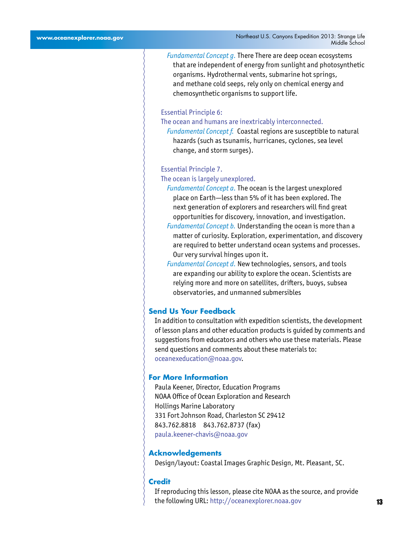*Fundamental Concept g.* There There are deep ocean ecosystems that are independent of energy from sunlight and photosynthetic organisms. Hydrothermal vents, submarine hot springs, and methane cold seeps, rely only on chemical energy and chemosynthetic organisms to support life.

#### Essential Principle 6:

#### The ocean and humans are inextricably interconnected.

*Fundamental Concept f.* Coastal regions are susceptible to natural hazards (such as tsunamis, hurricanes, cyclones, sea level change, and storm surges).

#### Essential Principle 7.

#### The ocean is largely unexplored.

*Fundamental Concept a.* The ocean is the largest unexplored place on Earth—less than 5% of it has been explored. The next generation of explorers and researchers will find great opportunities for discovery, innovation, and investigation.

*Fundamental Concept b.* Understanding the ocean is more than a matter of curiosity. Exploration, experimentation, and discovery are required to better understand ocean systems and processes. Our very survival hinges upon it.

*Fundamental Concept d.* New technologies, sensors, and tools are expanding our ability to explore the ocean. Scientists are relying more and more on satellites, drifters, buoys, subsea observatories, and unmanned submersibles

#### **Send Us Your Feedback**

In addition to consultation with expedition scientists, the development of lesson plans and other education products is guided by comments and suggestions from educators and others who use these materials. Please send questions and comments about these materials to: [oceanexeducation@noaa.gov](mailto:oceanexeducation%40noaa.gov?subject=Feedback).

#### **For More Information**

Paula Keener, Director, Education Programs NOAA Office of Ocean Exploration and Research Hollings Marine Laboratory 331 Fort Johnson Road, Charleston SC 29412 843.762.8818 843.762.8737 (fax) [paula.keener-chavis@noaa.gov](mailto:paula.keener-chavis%40noaa.gov?subject=For%20More%20Information)

#### **Acknowledgements**

Design/layout: Coastal Images Graphic Design, Mt. Pleasant, SC.

#### **Credit**

If reproducing this lesson, please cite NOAA as the source, and provide the following URL: http://oceanexplorer.noaa.gov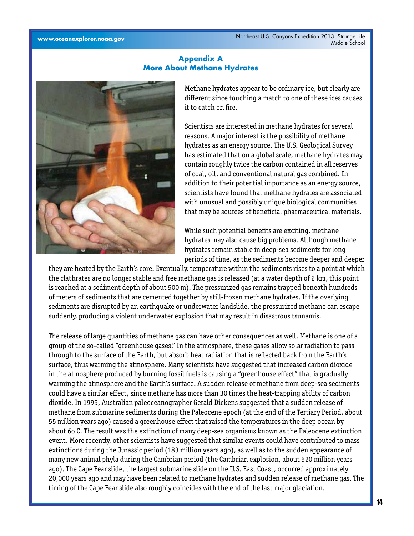#### **Appendix A More About Methane Hydrates**



Methane hydrates appear to be ordinary ice, but clearly are different since touching a match to one of these ices causes it to catch on fire.

Scientists are interested in methane hydrates for several reasons. A major interest is the possibility of methane hydrates as an energy source. The U.S. Geological Survey has estimated that on a global scale, methane hydrates may contain roughly twice the carbon contained in all reserves of coal, oil, and conventional natural gas combined. In addition to their potential importance as an energy source, scientists have found that methane hydrates are associated with unusual and possibly unique biological communities that may be sources of beneficial pharmaceutical materials.

While such potential benefits are exciting, methane hydrates may also cause big problems. Although methane hydrates remain stable in deep-sea sediments for long periods of time, as the sediments become deeper and deeper

they are heated by the Earth's core. Eventually, temperature within the sediments rises to a point at which the clathrates are no longer stable and free methane gas is released (at a water depth of 2 km, this point is reached at a sediment depth of about 500 m). The pressurized gas remains trapped beneath hundreds of meters of sediments that are cemented together by still-frozen methane hydrates. If the overlying sediments are disrupted by an earthquake or underwater landslide, the pressurized methane can escape suddenly, producing a violent underwater explosion that may result in disastrous tsunamis.

ago). The Cape Fear slide, the largest submarine slide on the U.S. East Coast, occurred approximately The release of large quantities of methane gas can have other consequences as well. Methane is one of a group of the so-called "greenhouse gases." In the atmosphere, these gases allow solar radiation to pass through to the surface of the Earth, but absorb heat radiation that is reflected back from the Earth's surface, thus warming the atmosphere. Many scientists have suggested that increased carbon dioxide in the atmosphere produced by burning fossil fuels is causing a "greenhouse effect" that is gradually warming the atmosphere and the Earth's surface. A sudden release of methane from deep-sea sediments could have a similar effect, since methane has more than 30 times the heat-trapping ability of carbon dioxide. In 1995, Australian paleoceanographer Gerald Dickens suggested that a sudden release of methane from submarine sediments during the Paleocene epoch (at the end of the Tertiary Period, about 55 million years ago) caused a greenhouse effect that raised the temperatures in the deep ocean by about 6o C. The result was the extinction of many deep-sea organisms known as the Paleocene extinction event. More recently, other scientists have suggested that similar events could have contributed to mass extinctions during the Jurassic period (183 million years ago), as well as to the sudden appearance of many new animal phyla during the Cambrian period (the Cambrian explosion, about 520 million years 20,000 years ago and may have been related to methane hydrates and sudden release of methane gas. The timing of the Cape Fear slide also roughly coincides with the end of the last major glaciation.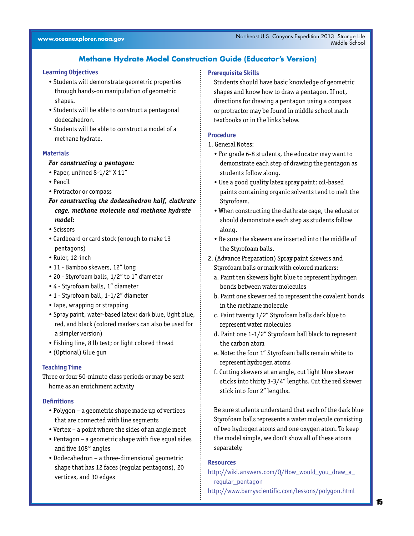#### Middle School **www.oceanexplorer.noaa.gov**

### **Methane Hydrate Model Construction Guide (Educator's Version)**

#### **Learning Objectives**

- Students will demonstrate geometric properties through hands-on manipulation of geometric shapes.
- Students will be able to construct a pentagonal dodecahedron.
- Students will be able to construct a model of a methane hydrate.

#### **Materials**

#### *For constructing a pentagon:*

- Paper, unlined 8-1/2" X 11"
- Pencil
- Protractor or compass
- *For constructing the dodecahedron half, clathrate cage, methane molecule and methane hydrate model:*
- Scissors
- Cardboard or card stock (enough to make 13 pentagons)
- Ruler, 12-inch
- 11 Bamboo skewers, 12" long
- 20 Styrofoam balls, 1/2" to 1" diameter
- 4 Styrofoam balls, 1" diameter
- 1 Styrofoam ball, 1-1/2" diameter
- Tape, wrapping or strapping
- Spray paint, water-based latex; dark blue, light blue, red, and black (colored markers can also be used for a simpler version)
- Fishing line, 8 lb test; or light colored thread
- (Optional) Glue gun

#### **Teaching Time**

Three or four 50-minute class periods or may be sent home as an enrichment activity

#### **Definitions**

- Polygon a geometric shape made up of vertices that are connected with line segments
- Vertex a point where the sides of an angle meet
- Pentagon a geometric shape with five equal sides and five 108° angles
- shape that has 12 faces (regular pentagons), 20 • Dodecahedron – a three-dimensional geometric vertices, and 30 edges

#### **Prerequisite Skills**

Students should have basic knowledge of geometric shapes and know how to draw a pentagon. If not, directions for drawing a pentagon using a compass or protractor may be found in middle school math textbooks or in the links below.

#### **Procedure**

- 1. General Notes:
	- For grade 6-8 students, the educator may want to demonstrate each step of drawing the pentagon as students follow along.
	- Use a good quality latex spray paint; oil-based paints containing organic solvents tend to melt the Styrofoam.
	- When constructing the clathrate cage, the educator should demonstrate each step as students follow along.
	- Be sure the skewers are inserted into the middle of the Styrofoam balls.
- 2. (Advance Preparation) Spray paint skewers and Styrofoam balls or mark with colored markers:
	- a. Paint ten skewers light blue to represent hydrogen bonds between water molecules
	- b. Paint one skewer red to represent the covalent bonds in the methane molecule
	- c. Paint twenty 1/2" Styrofoam balls dark blue to represent water molecules
	- d. Paint one 1-1/2" Styrofoam ball black to represent the carbon atom
	- e. Note: the four 1" Styrofoam balls remain white to represent hydrogen atoms
	- f. Cutting skewers at an angle, cut light blue skewer sticks into thirty 3-3/4" lengths. Cut the red skewer stick into four 2" lengths.

Be sure students understand that each of the dark blue Styrofoam balls represents a water molecule consisting of two hydrogen atoms and one oxygen atom. To keep the model simple, we don't show all of these atoms separately.

#### **Resources**

[http://wiki.answers.com/Q/How\\_would\\_you\\_draw\\_a\\_](http://wiki.answers.com/Q/How_would_you_draw_a_regular_pentagon) [regular\\_pentagon](http://wiki.answers.com/Q/How_would_you_draw_a_regular_pentagon)

<http://www.barryscientific.com/lessons/polygon.html>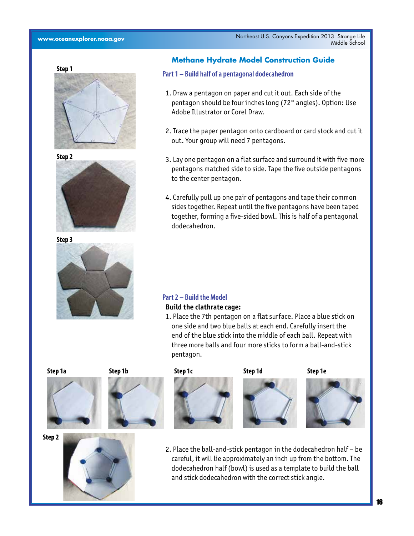#### **Step 1**





**Step 3**



#### **Methane Hydrate Model Construction Guide**

#### **Part 1 – Build half of a pentagonal dodecahedron**

- 1. Draw a pentagon on paper and cut it out. Each side of the pentagon should be four inches long (72° angles). Option: Use Adobe Illustrator or Corel Draw.
- 2. Trace the paper pentagon onto cardboard or card stock and cut it out. Your group will need 7 pentagons.
- 3. Lay one pentagon on a flat surface and surround it with five more pentagons matched side to side. Tape the five outside pentagons to the center pentagon.
- 4. Carefully pull up one pair of pentagons and tape their common sides together. Repeat until the five pentagons have been taped together, forming a five-sided bowl. This is half of a pentagonal dodecahedron.

#### **Part 2 – Build the Model**

#### **Build the clathrate cage:**

1. Place the 7th pentagon on a flat surface. Place a blue stick on one side and two blue balls at each end. Carefully insert the end of the blue stick into the middle of each ball. Repeat with three more balls and four more sticks to form a ball-and-stick pentagon.















2. Place the ball-and-stick pentagon in the dodecahedron half – be careful, it will lie approximately an inch up from the bottom. The dodecahedron half (bowl) is used as a template to build the ball and stick dodecahedron with the correct stick angle.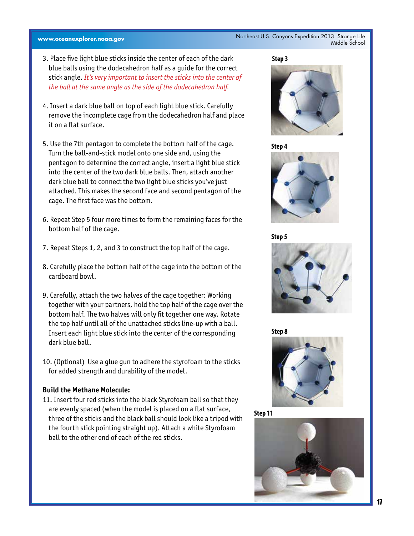#### Northeast U.S. Canyons Expedition 2013: Strange Life **www.oceanexplorer.noaa.gov**<br>Middle School **www.oceanexplorer.noaa.gov**

- 3. Place five light blue sticks inside the center of each of the dark blue balls using the dodecahedron half as a guide for the correct stick angle. *It's very important to insert the sticks into the center of the ball at the same angle as the side of the dodecahedron half.*
- 4. Insert a dark blue ball on top of each light blue stick. Carefully remove the incomplete cage from the dodecahedron half and place it on a flat surface.
- 5. Use the 7th pentagon to complete the bottom half of the cage. Turn the ball-and-stick model onto one side and, using the pentagon to determine the correct angle, insert a light blue stick into the center of the two dark blue balls. Then, attach another dark blue ball to connect the two light blue sticks you've just attached. This makes the second face and second pentagon of the cage. The first face was the bottom.
- 6. Repeat Step 5 four more times to form the remaining faces for the bottom half of the cage.
- 7. Repeat Steps 1, 2, and 3 to construct the top half of the cage.
- 8. Carefully place the bottom half of the cage into the bottom of the cardboard bowl.
- 9. Carefully, attach the two halves of the cage together: Working together with your partners, hold the top half of the cage over the bottom half. The two halves will only fit together one way. Rotate the top half until all of the unattached sticks line-up with a ball. Insert each light blue stick into the center of the corresponding dark blue ball.
- 10. (Optional) Use a glue gun to adhere the styrofoam to the sticks for added strength and durability of the model.

#### **Build the Methane Molecule:**

11. Insert four red sticks into the black Styrofoam ball so that they are evenly spaced (when the model is placed on a flat surface, three of the sticks and the black ball should look like a tripod with the fourth stick pointing straight up). Attach a white Styrofoam ball to the other end of each of the red sticks.

**Step 3**













**Step 11**